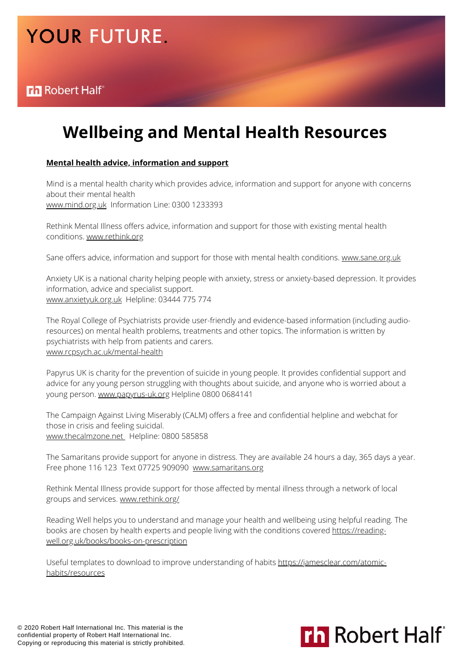# **YOUR FUTURE.**

## **Wellbeing and Mental Health Resources**

#### **Mental health advice, information and support**

Mind is a mental health charity which provides advice, information and support for anyone with concerns about their mental health [www.mind.org.uk](https://www.mind.org.uk/) Information Line: 0300 1233393

Rethink Mental Illness offers advice, information and support for those with existing mental health conditions. [www.rethink.org](http://www.rethink.org/)

Sane offers advice, information and support for those with mental health conditions. [www.sane.org.uk](http://www.sane.org.uk/)

Anxiety UK is a national charity helping people with anxiety, stress or anxiety-based depression. It provides information, advice and specialist support. [www.anxietyuk.org.uk](http://www.anxietyuk.org.uk/) Helpline: 03444 775 774

The Royal College of Psychiatrists provide user-friendly and evidence-based information (including audioresources) on mental health problems, treatments and other topics. The information is written by psychiatrists with help from patients and carers. [www.rcpsych.ac.uk/mental-health](http://www.rcpsych.ac.uk/mental-health)

Papyrus UK is charity for the prevention of suicide in young people. It provides confidential support and advice for any young person struggling with thoughts about suicide, and anyone who is worried about a young person. [www.papyrus-uk.org](http://www.papyrus-uk.org/) Helpline 0800 0684141

The Campaign Against Living Miserably (CALM) offers a free and confidential helpline and webchat for those in crisis and feeling suicidal. [www.thecalmzone.net](http://www.thecalmzone.net/) [Helpline:](http://www.thecalmzone.net/) 0800 585858

The Samaritans provide support for anyone in distress. They are available 24 hours a day, 365 days a year. Free phone 116 123 Text 07725 909090 [www.samaritans.org](http://www.samaritans.org/)

Rethink Mental Illness provide support for those affected by mental illness through a network of local groups and services. [www.rethink.org/](http://www.rethink.org/)

Reading Well helps you to understand and manage your health and wellbeing using helpful reading. The books are chosen by health experts and people living with the conditions covered https://reading[well.org.uk/books/books-on-prescription](https://reading-well.org.uk/books/books-on-prescription)

Useful templates to download to improve understanding of habits [https://jamesclear.com/atomic](https://jamesclear.com/atomic-habits/resources)habits/resources

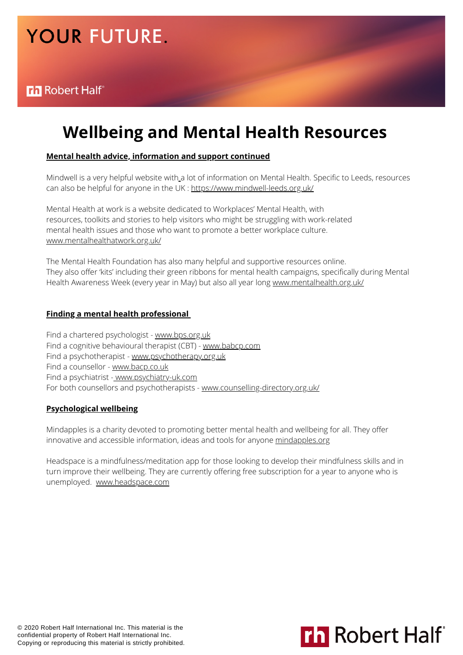# **YOUR FUTURE.**

## **Wellbeing and Mental Health Resources**

#### **Mental health advice, information and support continued**

Mindwell is a very helpful website with a lot of information on Mental Health. Specific to Leeds, resources can also be helpful for anyone in the UK : <https://www.mindwell-leeds.org.uk/>

Mental Health at work is a website dedicated to Workplaces' Mental Health, with resources, toolkits and stories to help visitors who might be struggling with work-related mental health issues and those who want to promote a better workplace culture. [www.mentalhealthatwork.org.uk/](http://www.mentalhealthatwork.org.uk/)

The Mental Health Foundation has also many helpful and supportive resources online. They also offer 'kits' including their green ribbons for mental health campaigns, specifically during Mental Health Awareness Week (every year in May) but also all year long [www.mentalhealth.org.uk/](http://www.mentalhealth.org.uk/)

#### **Finding a mental health professional**

Find a chartered psychologist - [www.bps.org.uk](http://www.bps.org.uk/) Find a cognitive behavioural therapist (CBT) - [www.babcp.com](http://www.bps.org.uk/) Find a psychotherapist - [www.psychotherapy.org.uk](http://www.psychotherapy.org.uk/) Find a counsellor - [www.bacp.co.uk](http://www.bacp.co.uk/) Find a psychiatrist - [www.psychiatry-uk.com](http://www.psychiatry-uk.com/) For both counsellors and psychotherapists - [www.counselling-directory.org.uk/](http://www.counselling-directory.org.uk/)

#### **Psychological wellbeing**

Mindapples is a charity devoted to promoting better mental health and wellbeing for all. They offer innovative and accessible information, ideas and tools for anyone [mindapples.org](https://mindapples.org/)

Headspace is a mindfulness/meditation app for those looking to develop their mindfulness skills and in turn improve their wellbeing. They are currently offering free subscription for a year to anyone who is unemployed. [www.headspace.com](http://www.headspace.com/)